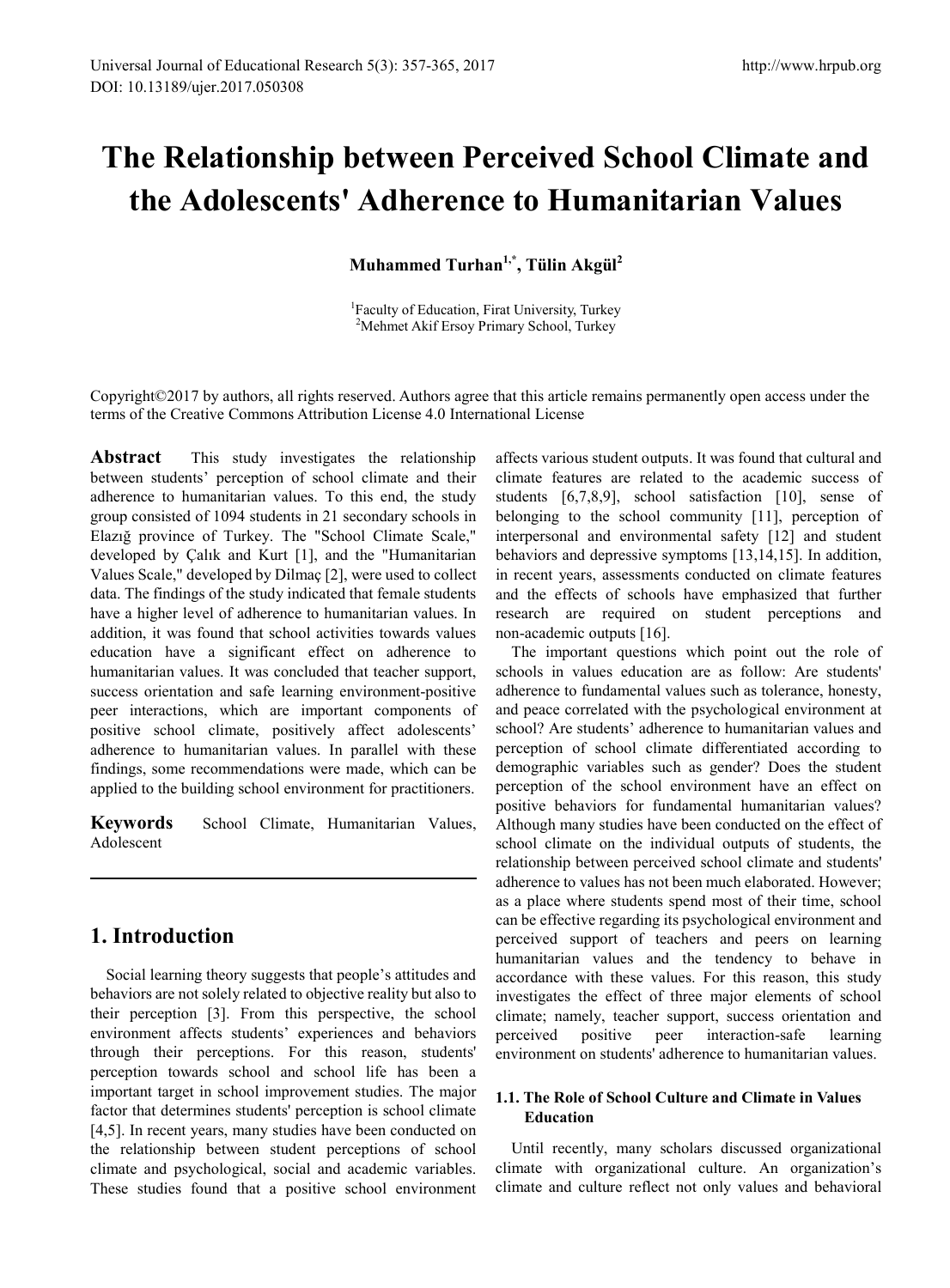# **The Relationship between Perceived School Climate and the Adolescents' Adherence to Humanitarian Values**

**Muhammed Turhan1,\*, Tülin Akgül2** 

<sup>1</sup>Faculty of Education, Firat University, Turkey <sup>2</sup>Mehmet Akif Ersoy Primary School, Turkey

Copyright©2017 by authors, all rights reserved. Authors agree that this article remains permanently open access under the terms of the Creative Commons Attribution License 4.0 International License

**Abstract** This study investigates the relationship between students' perception of school climate and their adherence to humanitarian values. To this end, the study group consisted of 1094 students in 21 secondary schools in Elazığ province of Turkey. The "School Climate Scale," developed by Çalık and Kurt [1], and the "Humanitarian Values Scale," developed by Dilmaç [2], were used to collect data. The findings of the study indicated that female students have a higher level of adherence to humanitarian values. In addition, it was found that school activities towards values education have a significant effect on adherence to humanitarian values. It was concluded that teacher support, success orientation and safe learning environment-positive peer interactions, which are important components of positive school climate, positively affect adolescents' adherence to humanitarian values. In parallel with these findings, some recommendations were made, which can be applied to the building school environment for practitioners.

**Keywords** School Climate, Humanitarian Values, Adolescent

## **1. Introduction**

Social learning theory suggests that people's attitudes and behaviors are not solely related to objective reality but also to their perception [3]. From this perspective, the school environment affects students' experiences and behaviors through their perceptions. For this reason, students' perception towards school and school life has been a important target in school improvement studies. The major factor that determines students' perception is school climate [4,5]. In recent years, many studies have been conducted on the relationship between student perceptions of school climate and psychological, social and academic variables. These studies found that a positive school environment

affects various student outputs. It was found that cultural and climate features are related to the academic success of students [6,7,8,9], school satisfaction [10], sense of belonging to the school community [11], perception of interpersonal and environmental safety [12] and student behaviors and depressive symptoms [13,14,15]. In addition, in recent years, assessments conducted on climate features and the effects of schools have emphasized that further research are required on student perceptions and non-academic outputs [16].

The important questions which point out the role of schools in values education are as follow: Are students' adherence to fundamental values such as tolerance, honesty, and peace correlated with the psychological environment at school? Are students' adherence to humanitarian values and perception of school climate differentiated according to demographic variables such as gender? Does the student perception of the school environment have an effect on positive behaviors for fundamental humanitarian values? Although many studies have been conducted on the effect of school climate on the individual outputs of students, the relationship between perceived school climate and students' adherence to values has not been much elaborated. However; as a place where students spend most of their time, school can be effective regarding its psychological environment and perceived support of teachers and peers on learning humanitarian values and the tendency to behave in accordance with these values. For this reason, this study investigates the effect of three major elements of school climate; namely, teacher support, success orientation and perceived positive peer interaction-safe learning environment on students' adherence to humanitarian values.

### **1.1. The Role of School Culture and Climate in Values Education**

Until recently, many scholars discussed organizational climate with organizational culture. An organization's climate and culture reflect not only values and behavioral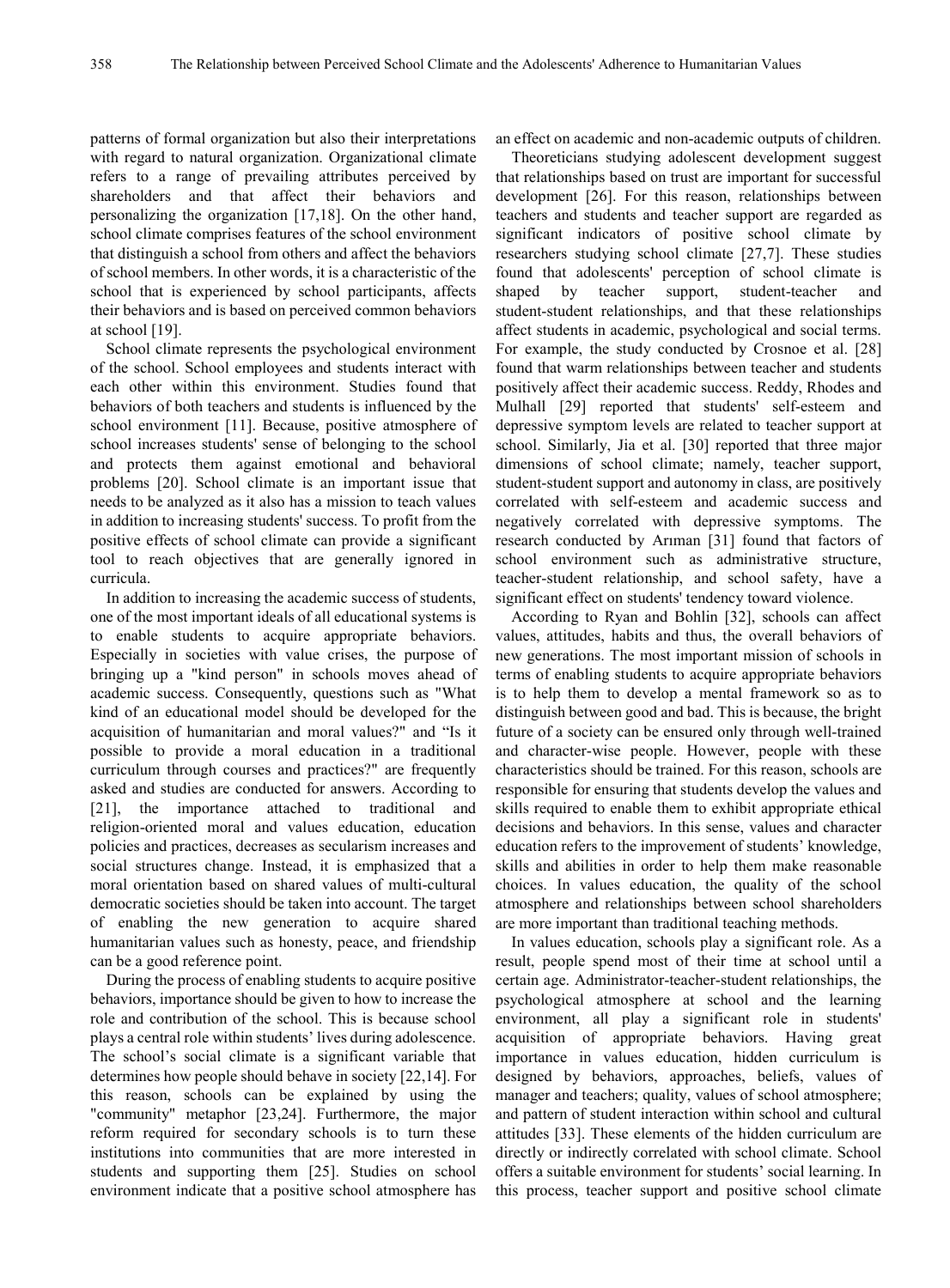patterns of formal organization but also their interpretations with regard to natural organization. Organizational climate refers to a range of prevailing attributes perceived by shareholders and that affect their behaviors and personalizing the organization [17,18]. On the other hand, school climate comprises features of the school environment that distinguish a school from others and affect the behaviors of school members. In other words, it is a characteristic of the school that is experienced by school participants, affects their behaviors and is based on perceived common behaviors at school [19].

School climate represents the psychological environment of the school. School employees and students interact with each other within this environment. Studies found that behaviors of both teachers and students is influenced by the school environment [11]. Because, positive atmosphere of school increases students' sense of belonging to the school and protects them against emotional and behavioral problems [20]. School climate is an important issue that needs to be analyzed as it also has a mission to teach values in addition to increasing students' success. To profit from the positive effects of school climate can provide a significant tool to reach objectives that are generally ignored in curricula.

In addition to increasing the academic success of students, one of the most important ideals of all educational systems is to enable students to acquire appropriate behaviors. Especially in societies with value crises, the purpose of bringing up a "kind person" in schools moves ahead of academic success. Consequently, questions such as "What kind of an educational model should be developed for the acquisition of humanitarian and moral values?" and "Is it possible to provide a moral education in a traditional curriculum through courses and practices?" are frequently asked and studies are conducted for answers. According to [21], the importance attached to traditional and religion-oriented moral and values education, education policies and practices, decreases as secularism increases and social structures change. Instead, it is emphasized that a moral orientation based on shared values of multi-cultural democratic societies should be taken into account. The target of enabling the new generation to acquire shared humanitarian values such as honesty, peace, and friendship can be a good reference point.

During the process of enabling students to acquire positive behaviors, importance should be given to how to increase the role and contribution of the school. This is because school plays a central role within students' lives during adolescence. The school's social climate is a significant variable that determines how people should behave in society [22,14]. For this reason, schools can be explained by using the "community" metaphor [23,24]. Furthermore, the major reform required for secondary schools is to turn these institutions into communities that are more interested in students and supporting them [25]. Studies on school environment indicate that a positive school atmosphere has an effect on academic and non-academic outputs of children.

Theoreticians studying adolescent development suggest that relationships based on trust are important for successful development [26]. For this reason, relationships between teachers and students and teacher support are regarded as significant indicators of positive school climate by researchers studying school climate [27,7]. These studies found that adolescents' perception of school climate is shaped by teacher support, student-teacher and student-student relationships, and that these relationships affect students in academic, psychological and social terms. For example, the study conducted by Crosnoe et al. [28] found that warm relationships between teacher and students positively affect their academic success. Reddy, Rhodes and Mulhall [29] reported that students' self-esteem and depressive symptom levels are related to teacher support at school. Similarly, Jia et al. [30] reported that three major dimensions of school climate; namely, teacher support, student-student support and autonomy in class, are positively correlated with self-esteem and academic success and negatively correlated with depressive symptoms. The research conducted by Arıman [31] found that factors of school environment such as administrative structure, teacher-student relationship, and school safety, have a significant effect on students' tendency toward violence.

According to Ryan and Bohlin [32], schools can affect values, attitudes, habits and thus, the overall behaviors of new generations. The most important mission of schools in terms of enabling students to acquire appropriate behaviors is to help them to develop a mental framework so as to distinguish between good and bad. This is because, the bright future of a society can be ensured only through well-trained and character-wise people. However, people with these characteristics should be trained. For this reason, schools are responsible for ensuring that students develop the values and skills required to enable them to exhibit appropriate ethical decisions and behaviors. In this sense, values and character education refers to the improvement of students' knowledge, skills and abilities in order to help them make reasonable choices. In values education, the quality of the school atmosphere and relationships between school shareholders are more important than traditional teaching methods.

In values education, schools play a significant role. As a result, people spend most of their time at school until a certain age. Administrator-teacher-student relationships, the psychological atmosphere at school and the learning environment, all play a significant role in students' acquisition of appropriate behaviors. Having great importance in values education, hidden curriculum is designed by behaviors, approaches, beliefs, values of manager and teachers; quality, values of school atmosphere; and pattern of student interaction within school and cultural attitudes [33]. These elements of the hidden curriculum are directly or indirectly correlated with school climate. School offers a suitable environment for students' social learning. In this process, teacher support and positive school climate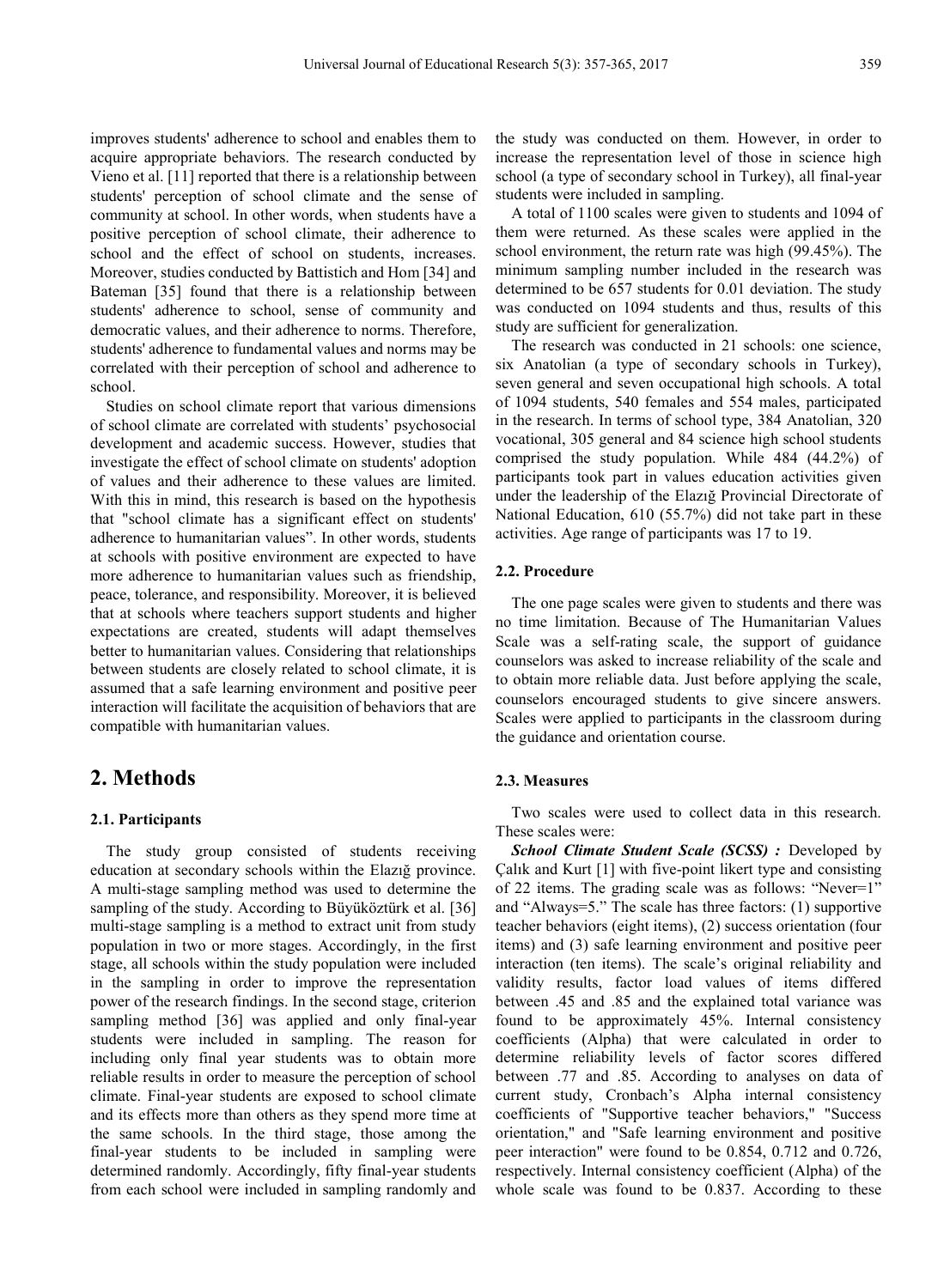improves students' adherence to school and enables them to acquire appropriate behaviors. The research conducted by Vieno et al. [11] reported that there is a relationship between students' perception of school climate and the sense of community at school. In other words, when students have a positive perception of school climate, their adherence to school and the effect of school on students, increases. Moreover, studies conducted by Battistich and Hom [34] and Bateman [35] found that there is a relationship between students' adherence to school, sense of community and democratic values, and their adherence to norms. Therefore, students' adherence to fundamental values and norms may be correlated with their perception of school and adherence to school.

Studies on school climate report that various dimensions of school climate are correlated with students' psychosocial development and academic success. However, studies that investigate the effect of school climate on students' adoption of values and their adherence to these values are limited. With this in mind, this research is based on the hypothesis that "school climate has a significant effect on students' adherence to humanitarian values". In other words, students at schools with positive environment are expected to have more adherence to humanitarian values such as friendship, peace, tolerance, and responsibility. Moreover, it is believed that at schools where teachers support students and higher expectations are created, students will adapt themselves better to humanitarian values. Considering that relationships between students are closely related to school climate, it is assumed that a safe learning environment and positive peer interaction will facilitate the acquisition of behaviors that are compatible with humanitarian values.

## **2. Methods**

#### **2.1. Participants**

The study group consisted of students receiving education at secondary schools within the Elazığ province. A multi-stage sampling method was used to determine the sampling of the study. According to Büyüköztürk et al. [36] multi-stage sampling is a method to extract unit from study population in two or more stages. Accordingly, in the first stage, all schools within the study population were included in the sampling in order to improve the representation power of the research findings. In the second stage, criterion sampling method [36] was applied and only final-year students were included in sampling. The reason for including only final year students was to obtain more reliable results in order to measure the perception of school climate. Final-year students are exposed to school climate and its effects more than others as they spend more time at the same schools. In the third stage, those among the final-year students to be included in sampling were determined randomly. Accordingly, fifty final-year students from each school were included in sampling randomly and

the study was conducted on them. However, in order to increase the representation level of those in science high school (a type of secondary school in Turkey), all final-year students were included in sampling.

A total of 1100 scales were given to students and 1094 of them were returned. As these scales were applied in the school environment, the return rate was high (99.45%). The minimum sampling number included in the research was determined to be 657 students for 0.01 deviation. The study was conducted on 1094 students and thus, results of this study are sufficient for generalization.

The research was conducted in 21 schools: one science, six Anatolian (a type of secondary schools in Turkey), seven general and seven occupational high schools. A total of 1094 students, 540 females and 554 males, participated in the research. In terms of school type, 384 Anatolian, 320 vocational, 305 general and 84 science high school students comprised the study population. While 484 (44.2%) of participants took part in values education activities given under the leadership of the Elazığ Provincial Directorate of National Education, 610 (55.7%) did not take part in these activities. Age range of participants was 17 to 19.

#### **2.2. Procedure**

The one page scales were given to students and there was no time limitation. Because of The Humanitarian Values Scale was a self-rating scale, the support of guidance counselors was asked to increase reliability of the scale and to obtain more reliable data. Just before applying the scale, counselors encouraged students to give sincere answers. Scales were applied to participants in the classroom during the guidance and orientation course.

#### **2.3. Measures**

Two scales were used to collect data in this research. These scales were:

*School Climate Student Scale (SCSS) :* Developed by Çalık and Kurt [1] with five-point likert type and consisting of 22 items. The grading scale was as follows: "Never=1" and "Always=5." The scale has three factors: (1) supportive teacher behaviors (eight items), (2) success orientation (four items) and (3) safe learning environment and positive peer interaction (ten items). The scale's original reliability and validity results, factor load values of items differed between .45 and .85 and the explained total variance was found to be approximately 45%. Internal consistency coefficients (Alpha) that were calculated in order to determine reliability levels of factor scores differed between .77 and .85. According to analyses on data of current study, Cronbach's Alpha internal consistency coefficients of "Supportive teacher behaviors," "Success orientation," and "Safe learning environment and positive peer interaction" were found to be 0.854, 0.712 and 0.726, respectively. Internal consistency coefficient (Alpha) of the whole scale was found to be 0.837. According to these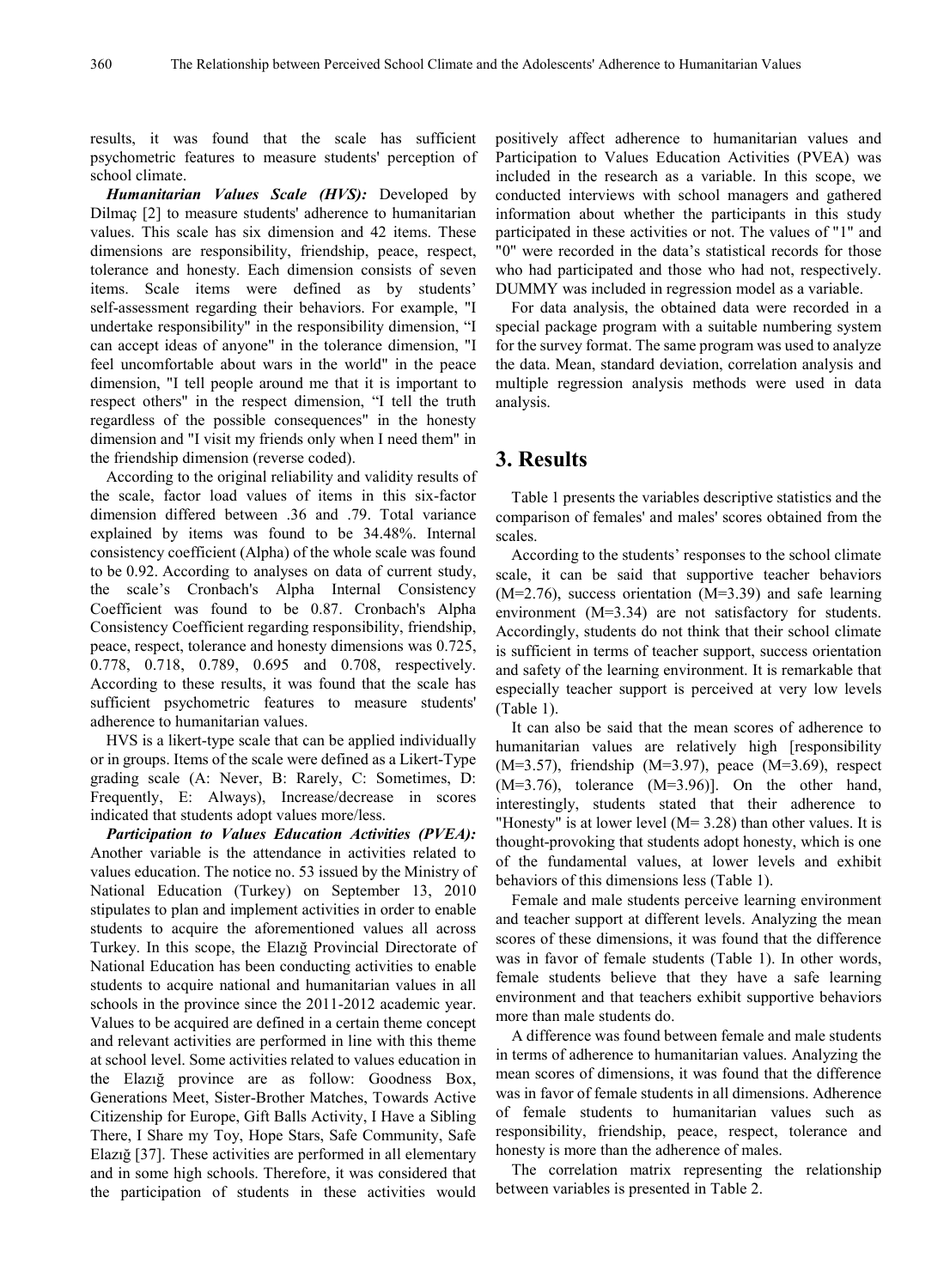results, it was found that the scale has sufficient psychometric features to measure students' perception of school climate.

*Humanitarian Values Scale (HVS):* Developed by Dilmaç [2] to measure students' adherence to humanitarian values. This scale has six dimension and 42 items. These dimensions are responsibility, friendship, peace, respect, tolerance and honesty. Each dimension consists of seven items. Scale items were defined as by students' self-assessment regarding their behaviors. For example, "I undertake responsibility" in the responsibility dimension, "I can accept ideas of anyone" in the tolerance dimension, "I feel uncomfortable about wars in the world" in the peace dimension, "I tell people around me that it is important to respect others" in the respect dimension, "I tell the truth regardless of the possible consequences" in the honesty dimension and "I visit my friends only when I need them" in the friendship dimension (reverse coded).

According to the original reliability and validity results of the scale, factor load values of items in this six-factor dimension differed between .36 and .79. Total variance explained by items was found to be 34.48%. Internal consistency coefficient (Alpha) of the whole scale was found to be 0.92. According to analyses on data of current study, the scale's Cronbach's Alpha Internal Consistency Coefficient was found to be 0.87. Cronbach's Alpha Consistency Coefficient regarding responsibility, friendship, peace, respect, tolerance and honesty dimensions was 0.725, 0.778, 0.718, 0.789, 0.695 and 0.708, respectively. According to these results, it was found that the scale has sufficient psychometric features to measure students' adherence to humanitarian values.

HVS is a likert-type scale that can be applied individually or in groups. Items of the scale were defined as a Likert-Type grading scale (A: Never, B: Rarely, C: Sometimes, D: Frequently, E: Always), Increase/decrease in scores indicated that students adopt values more/less.

*Participation to Values Education Activities (PVEA):* Another variable is the attendance in activities related to values education. The notice no. 53 issued by the Ministry of National Education (Turkey) on September 13, 2010 stipulates to plan and implement activities in order to enable students to acquire the aforementioned values all across Turkey. In this scope, the Elazığ Provincial Directorate of National Education has been conducting activities to enable students to acquire national and humanitarian values in all schools in the province since the 2011-2012 academic year. Values to be acquired are defined in a certain theme concept and relevant activities are performed in line with this theme at school level. Some activities related to values education in the Elazığ province are as follow: Goodness Box, Generations Meet, Sister-Brother Matches, Towards Active Citizenship for Europe, Gift Balls Activity, I Have a Sibling There, I Share my Toy, Hope Stars, Safe Community, Safe Elazığ [37]. These activities are performed in all elementary and in some high schools. Therefore, it was considered that the participation of students in these activities would

positively affect adherence to humanitarian values and Participation to Values Education Activities (PVEA) was included in the research as a variable. In this scope, we conducted interviews with school managers and gathered information about whether the participants in this study participated in these activities or not. The values of "1" and "0" were recorded in the data's statistical records for those who had participated and those who had not, respectively. DUMMY was included in regression model as a variable.

For data analysis, the obtained data were recorded in a special package program with a suitable numbering system for the survey format. The same program was used to analyze the data. Mean, standard deviation, correlation analysis and multiple regression analysis methods were used in data analysis.

## **3. Results**

Table 1 presents the variables descriptive statistics and the comparison of females' and males' scores obtained from the scales.

According to the students' responses to the school climate scale, it can be said that supportive teacher behaviors  $(M=2.76)$ , success orientation  $(M=3.39)$  and safe learning environment (M=3.34) are not satisfactory for students. Accordingly, students do not think that their school climate is sufficient in terms of teacher support, success orientation and safety of the learning environment. It is remarkable that especially teacher support is perceived at very low levels (Table 1).

It can also be said that the mean scores of adherence to humanitarian values are relatively high [responsibility (M=3.57), friendship (M=3.97), peace (M=3.69), respect  $(M=3.76)$ , tolerance  $(M=3.96)$ ]. On the other hand, interestingly, students stated that their adherence to "Honesty" is at lower level (M= 3.28) than other values. It is thought-provoking that students adopt honesty, which is one of the fundamental values, at lower levels and exhibit behaviors of this dimensions less (Table 1).

Female and male students perceive learning environment and teacher support at different levels. Analyzing the mean scores of these dimensions, it was found that the difference was in favor of female students (Table 1). In other words, female students believe that they have a safe learning environment and that teachers exhibit supportive behaviors more than male students do.

A difference was found between female and male students in terms of adherence to humanitarian values. Analyzing the mean scores of dimensions, it was found that the difference was in favor of female students in all dimensions. Adherence of female students to humanitarian values such as responsibility, friendship, peace, respect, tolerance and honesty is more than the adherence of males.

The correlation matrix representing the relationship between variables is presented in Table 2.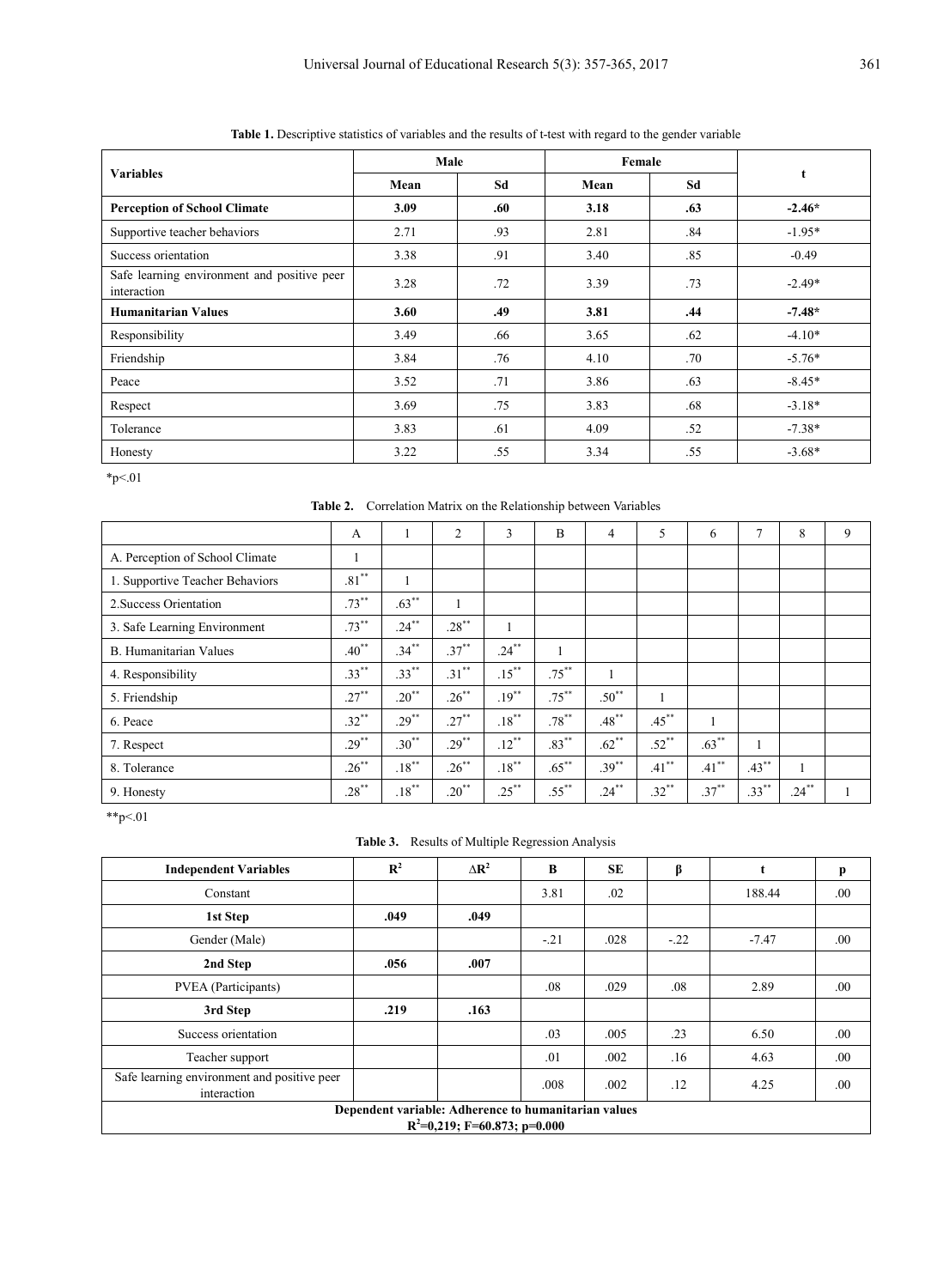| <b>Variables</b>                                           | Male |     | Female |     |          |
|------------------------------------------------------------|------|-----|--------|-----|----------|
|                                                            | Mean | Sd  | Mean   | Sd  | t        |
| <b>Perception of School Climate</b>                        | 3.09 | .60 | 3.18   | .63 | $-2.46*$ |
| Supportive teacher behaviors                               | 2.71 | .93 | 2.81   | .84 | $-1.95*$ |
| Success orientation                                        | 3.38 | .91 | 3.40   | .85 | $-0.49$  |
| Safe learning environment and positive peer<br>interaction | 3.28 | .72 | 3.39   | .73 | $-2.49*$ |
| <b>Humanitarian Values</b>                                 | 3.60 | .49 | 3.81   | .44 | $-7.48*$ |
| Responsibility                                             | 3.49 | .66 | 3.65   | .62 | $-4.10*$ |
| Friendship                                                 | 3.84 | .76 | 4.10   | .70 | $-5.76*$ |
| Peace                                                      | 3.52 | .71 | 3.86   | .63 | $-8.45*$ |
| Respect                                                    | 3.69 | .75 | 3.83   | .68 | $-3.18*$ |
| Tolerance                                                  | 3.83 | .61 | 4.09   | .52 | $-7.38*$ |
| Honesty                                                    | 3.22 | .55 | 3.34   | .55 | $-3.68*$ |

**Table 1.** Descriptive statistics of variables and the results of t-test with regard to the gender variable

 $*_{p<.01}$ 

**Table 2.** Correlation Matrix on the Relationship between Variables

|                                 | A        | п.               | $\overline{2}$ | 3                | B                | 4        | 5                | 6           | Ξ        | 8        | 9 |
|---------------------------------|----------|------------------|----------------|------------------|------------------|----------|------------------|-------------|----------|----------|---|
| A. Perception of School Climate |          |                  |                |                  |                  |          |                  |             |          |          |   |
| 1. Supportive Teacher Behaviors | $.81***$ |                  |                |                  |                  |          |                  |             |          |          |   |
| 2. Success Orientation          | $.73***$ | $.63***$         |                |                  |                  |          |                  |             |          |          |   |
| 3. Safe Learning Environment    | $.73***$ | $.24***$         | $.28***$       |                  |                  |          |                  |             |          |          |   |
| <b>B.</b> Humanitarian Values   | $.40**$  | $.34***$         | $.37***$       | $.24***$         |                  |          |                  |             |          |          |   |
| 4. Responsibility               | $.33***$ | $.33***$         | $.31***$       | $.15***$         | $.75***$         |          |                  |             |          |          |   |
| 5. Friendship                   | $.27***$ | $.20***$         | $.26***$       | $.19***$         | $.75***$         | $.50**$  |                  |             |          |          |   |
| 6. Peace                        | $.32***$ | $.29***$         | $.27***$       | $.18^{\ast\ast}$ | $.78^{\ast\ast}$ | $.48***$ | $.45***$         |             |          |          |   |
| 7. Respect                      | $.29***$ | $.30**$          | $.29***$       | $.12***$         | $.83***$         | $.62***$ | $.52***$         | $.63***$    |          |          |   |
| 8. Tolerance                    | $.26***$ | $.18^{\ast\ast}$ | $.26***$       | $.18^{\ast\ast}$ | $.65***$         | $.39***$ | $.41^{\ast\ast}$ | $.41\sp{*}$ | $.43***$ | 1        |   |
| 9. Honesty                      | $.28***$ | $.18^{\ast\ast}$ | $.20**$        | $.25***$         | $.55***$         | $.24***$ | $.32***$         | $.37***$    | $.33***$ | $.24***$ |   |

 $*p<.01$ 

**Table 3.** Results of Multiple Regression Analysis

| <b>Independent Variables</b>                                                            | $\mathbb{R}^2$ | $\Delta$ R <sup>2</sup> | B     | <b>SE</b> | β      | t       | p    |
|-----------------------------------------------------------------------------------------|----------------|-------------------------|-------|-----------|--------|---------|------|
| Constant                                                                                |                |                         | 3.81  | .02       |        | 188.44  | .00  |
| 1st Step                                                                                | .049           | .049                    |       |           |        |         |      |
| Gender (Male)                                                                           |                |                         | $-21$ | .028      | $-.22$ | $-7.47$ | .00  |
| 2nd Step                                                                                | .056           | .007                    |       |           |        |         |      |
| PVEA (Participants)                                                                     |                |                         | .08   | .029      | .08    | 2.89    | .00. |
| 3rd Step                                                                                | .219           | .163                    |       |           |        |         |      |
| Success orientation                                                                     |                |                         | .03   | .005      | .23    | 6.50    | .00. |
| Teacher support                                                                         |                |                         | .01   | .002      | .16    | 4.63    | .00  |
| Safe learning environment and positive peer<br>interaction                              |                |                         | .008  | .002      | .12    | 4.25    | .00. |
| Dependent variable: Adherence to humanitarian values<br>$R^2=0,219$ ; F=60.873; p=0.000 |                |                         |       |           |        |         |      |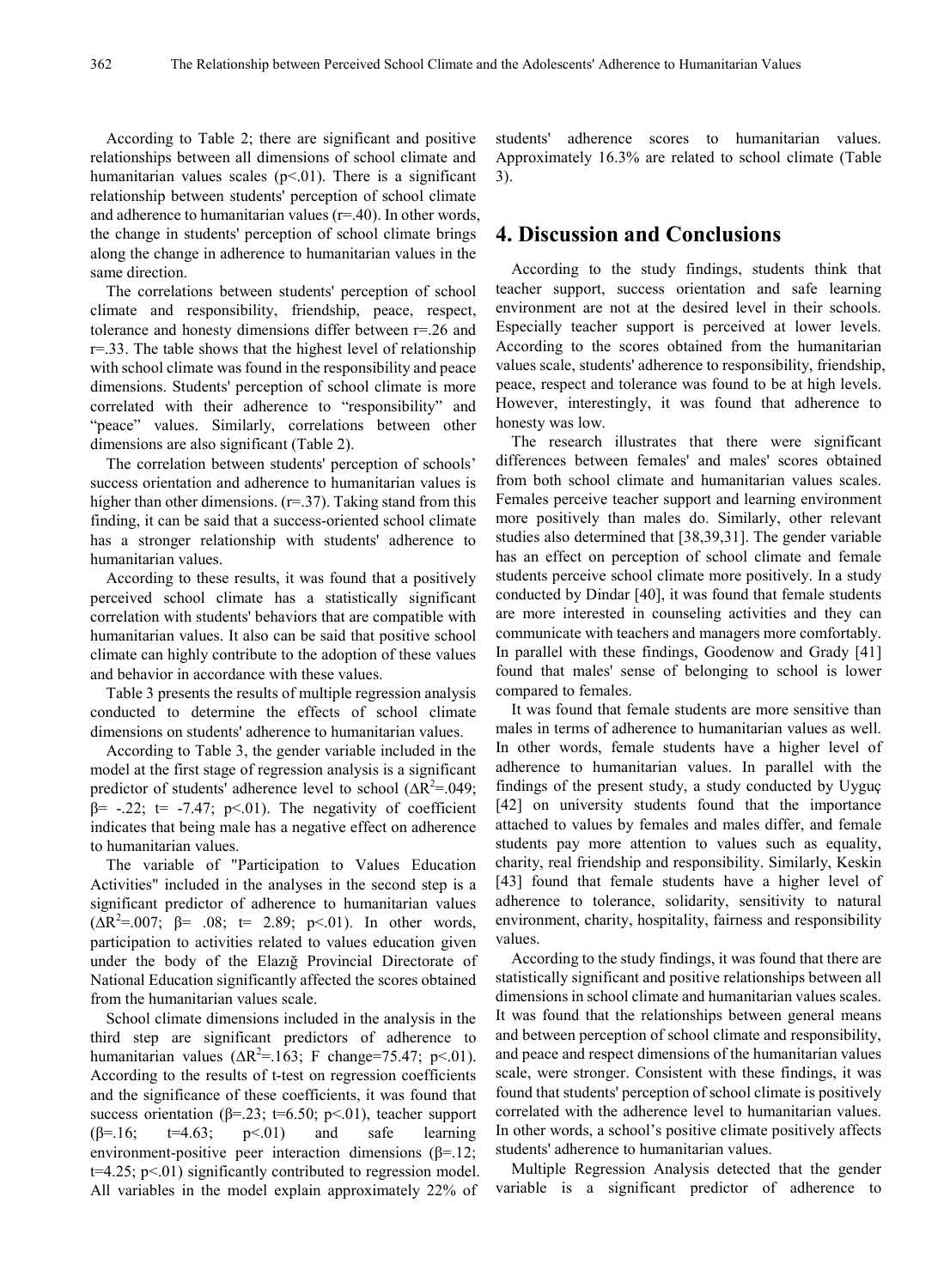According to Table 2; there are significant and positive relationships between all dimensions of school climate and humanitarian values scales  $(p<01)$ . There is a significant relationship between students' perception of school climate and adherence to humanitarian values (r=.40). In other words, the change in students' perception of school climate brings along the change in adherence to humanitarian values in the same direction.

The correlations between students' perception of school climate and responsibility, friendship, peace, respect, tolerance and honesty dimensions differ between r=.26 and r=.33. The table shows that the highest level of relationship with school climate was found in the responsibility and peace dimensions. Students' perception of school climate is more correlated with their adherence to "responsibility" and "peace" values. Similarly, correlations between other dimensions are also significant (Table 2).

The correlation between students' perception of schools' success orientation and adherence to humanitarian values is higher than other dimensions. (r=.37). Taking stand from this finding, it can be said that a success-oriented school climate has a stronger relationship with students' adherence to humanitarian values.

According to these results, it was found that a positively perceived school climate has a statistically significant correlation with students' behaviors that are compatible with humanitarian values. It also can be said that positive school climate can highly contribute to the adoption of these values and behavior in accordance with these values.

Table 3 presents the results of multiple regression analysis conducted to determine the effects of school climate dimensions on students' adherence to humanitarian values.

According to Table 3, the gender variable included in the model at the first stage of regression analysis is a significant predictor of students' adherence level to school ( $\Delta R^2 = .049$ ;  $β= -.22$ ;  $t= -7.47$ ;  $p<01$ ). The negativity of coefficient indicates that being male has a negative effect on adherence to humanitarian values.

The variable of "Participation to Values Education Activities" included in the analyses in the second step is a significant predictor of adherence to humanitarian values  $(\Delta R^2 = 0.07; \beta = .08; t = 2.89; p < .01)$ . In other words, participation to activities related to values education given under the body of the Elazığ Provincial Directorate of National Education significantly affected the scores obtained from the humanitarian values scale.

School climate dimensions included in the analysis in the third step are significant predictors of adherence to humanitarian values ( $\Delta R^2$ =.163; F change=75.47; p<.01). According to the results of t-test on regression coefficients and the significance of these coefficients, it was found that success orientation ( $\beta$ =.23; t=6.50; p<.01), teacher support  $(\beta=16;$  t=4.63; p<.01) and safe learning environment-positive peer interaction dimensions ( $\beta$ =.12;  $t=4.25$ ; p<.01) significantly contributed to regression model. All variables in the model explain approximately 22% of

students' adherence scores to humanitarian values. Approximately 16.3% are related to school climate (Table 3).

## **4. Discussion and Conclusions**

According to the study findings, students think that teacher support, success orientation and safe learning environment are not at the desired level in their schools. Especially teacher support is perceived at lower levels. According to the scores obtained from the humanitarian values scale, students' adherence to responsibility, friendship, peace, respect and tolerance was found to be at high levels. However, interestingly, it was found that adherence to honesty was low.

The research illustrates that there were significant differences between females' and males' scores obtained from both school climate and humanitarian values scales. Females perceive teacher support and learning environment more positively than males do. Similarly, other relevant studies also determined that [38,39,31]. The gender variable has an effect on perception of school climate and female students perceive school climate more positively. In a study conducted by Dindar [40], it was found that female students are more interested in counseling activities and they can communicate with teachers and managers more comfortably. In parallel with these findings, Goodenow and Grady [41] found that males' sense of belonging to school is lower compared to females.

It was found that female students are more sensitive than males in terms of adherence to humanitarian values as well. In other words, female students have a higher level of adherence to humanitarian values. In parallel with the findings of the present study, a study conducted by Uyguç [42] on university students found that the importance attached to values by females and males differ, and female students pay more attention to values such as equality, charity, real friendship and responsibility. Similarly, Keskin [43] found that female students have a higher level of adherence to tolerance, solidarity, sensitivity to natural environment, charity, hospitality, fairness and responsibility values.

According to the study findings, it was found that there are statistically significant and positive relationships between all dimensions in school climate and humanitarian values scales. It was found that the relationships between general means and between perception of school climate and responsibility, and peace and respect dimensions of the humanitarian values scale, were stronger. Consistent with these findings, it was found that students' perception of school climate is positively correlated with the adherence level to humanitarian values. In other words, a school's positive climate positively affects students' adherence to humanitarian values.

Multiple Regression Analysis detected that the gender variable is a significant predictor of adherence to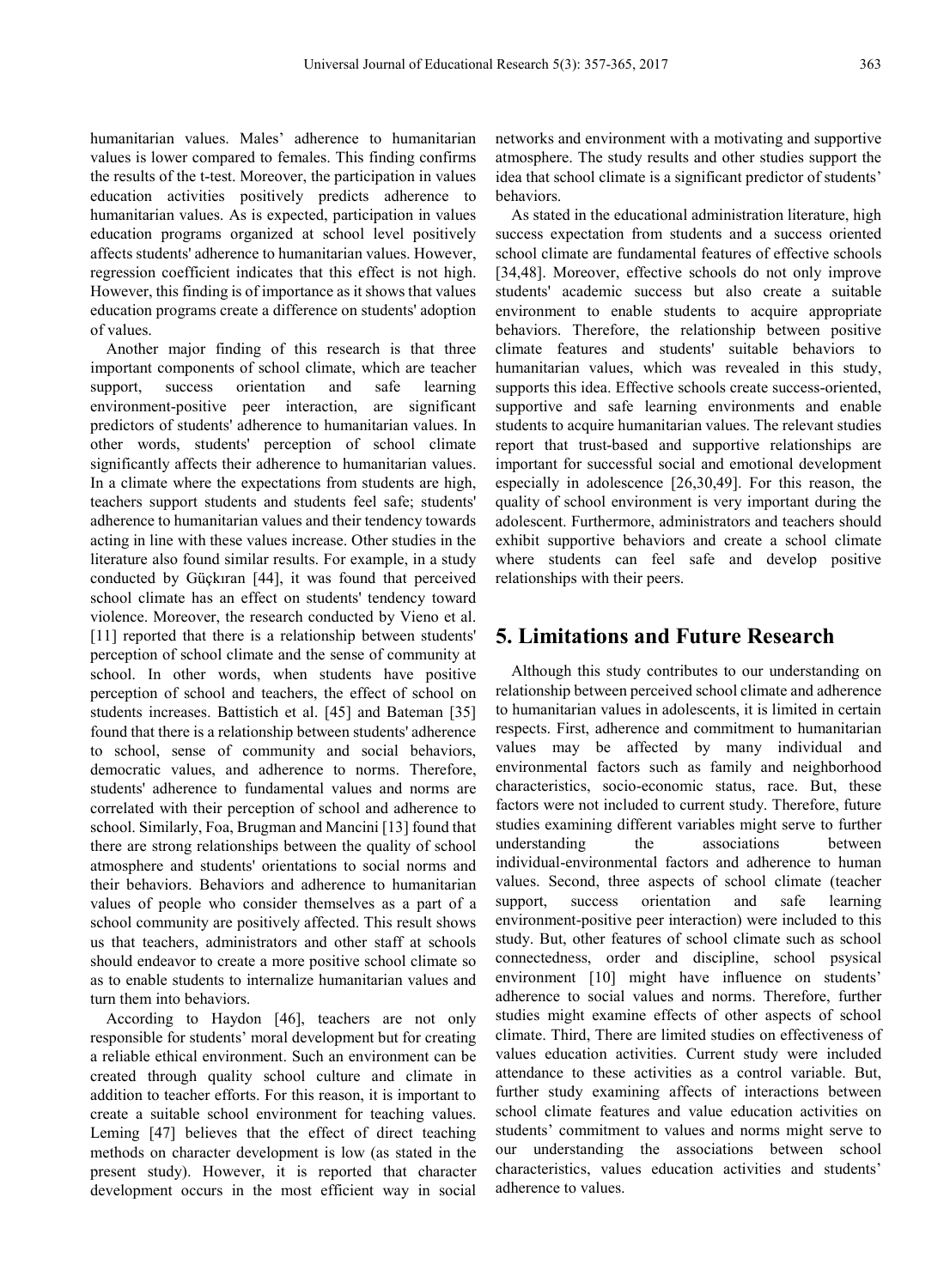humanitarian values. Males' adherence to humanitarian values is lower compared to females. This finding confirms the results of the t-test. Moreover, the participation in values education activities positively predicts adherence to humanitarian values. As is expected, participation in values education programs organized at school level positively affects students' adherence to humanitarian values. However, regression coefficient indicates that this effect is not high. However, this finding is of importance as it shows that values education programs create a difference on students' adoption of values.

Another major finding of this research is that three important components of school climate, which are teacher support, success orientation and safe learning environment-positive peer interaction, are significant predictors of students' adherence to humanitarian values. In other words, students' perception of school climate significantly affects their adherence to humanitarian values. In a climate where the expectations from students are high, teachers support students and students feel safe; students' adherence to humanitarian values and their tendency towards acting in line with these values increase. Other studies in the literature also found similar results. For example, in a study conducted by Güçkıran [44], it was found that perceived school climate has an effect on students' tendency toward violence. Moreover, the research conducted by Vieno et al. [11] reported that there is a relationship between students' perception of school climate and the sense of community at school. In other words, when students have positive perception of school and teachers, the effect of school on students increases. Battistich et al. [45] and Bateman [35] found that there is a relationship between students' adherence to school, sense of community and social behaviors, democratic values, and adherence to norms. Therefore, students' adherence to fundamental values and norms are correlated with their perception of school and adherence to school. Similarly, Foa, Brugman and Mancini [13] found that there are strong relationships between the quality of school atmosphere and students' orientations to social norms and their behaviors. Behaviors and adherence to humanitarian values of people who consider themselves as a part of a school community are positively affected. This result shows us that teachers, administrators and other staff at schools should endeavor to create a more positive school climate so as to enable students to internalize humanitarian values and turn them into behaviors.

According to Haydon [46], teachers are not only responsible for students' moral development but for creating a reliable ethical environment. Such an environment can be created through quality school culture and climate in addition to teacher efforts. For this reason, it is important to create a suitable school environment for teaching values. Leming [47] believes that the effect of direct teaching methods on character development is low (as stated in the present study). However, it is reported that character development occurs in the most efficient way in social

networks and environment with a motivating and supportive atmosphere. The study results and other studies support the idea that school climate is a significant predictor of students' behaviors.

As stated in the educational administration literature, high success expectation from students and a success oriented school climate are fundamental features of effective schools [34,48]. Moreover, effective schools do not only improve students' academic success but also create a suitable environment to enable students to acquire appropriate behaviors. Therefore, the relationship between positive climate features and students' suitable behaviors to humanitarian values, which was revealed in this study, supports this idea. Effective schools create success-oriented, supportive and safe learning environments and enable students to acquire humanitarian values. The relevant studies report that trust-based and supportive relationships are important for successful social and emotional development especially in adolescence [26,30,49]. For this reason, the quality of school environment is very important during the adolescent. Furthermore, administrators and teachers should exhibit supportive behaviors and create a school climate where students can feel safe and develop positive relationships with their peers.

## **5. Limitations and Future Research**

Although this study contributes to our understanding on relationship between perceived school climate and adherence to humanitarian values in adolescents, it is limited in certain respects. First, adherence and commitment to humanitarian values may be affected by many individual and environmental factors such as family and neighborhood characteristics, socio-economic status, race. But, these factors were not included to current study. Therefore, future studies examining different variables might serve to further understanding the associations between individual-environmental factors and adherence to human values. Second, three aspects of school climate (teacher support, success orientation and safe learning environment-positive peer interaction) were included to this study. But, other features of school climate such as school connectedness, order and discipline, school psysical environment [10] might have influence on students' adherence to social values and norms. Therefore, further studies might examine effects of other aspects of school climate. Third, There are limited studies on effectiveness of values education activities. Current study were included attendance to these activities as a control variable. But, further study examining affects of interactions between school climate features and value education activities on students' commitment to values and norms might serve to our understanding the associations between school characteristics, values education activities and students' adherence to values.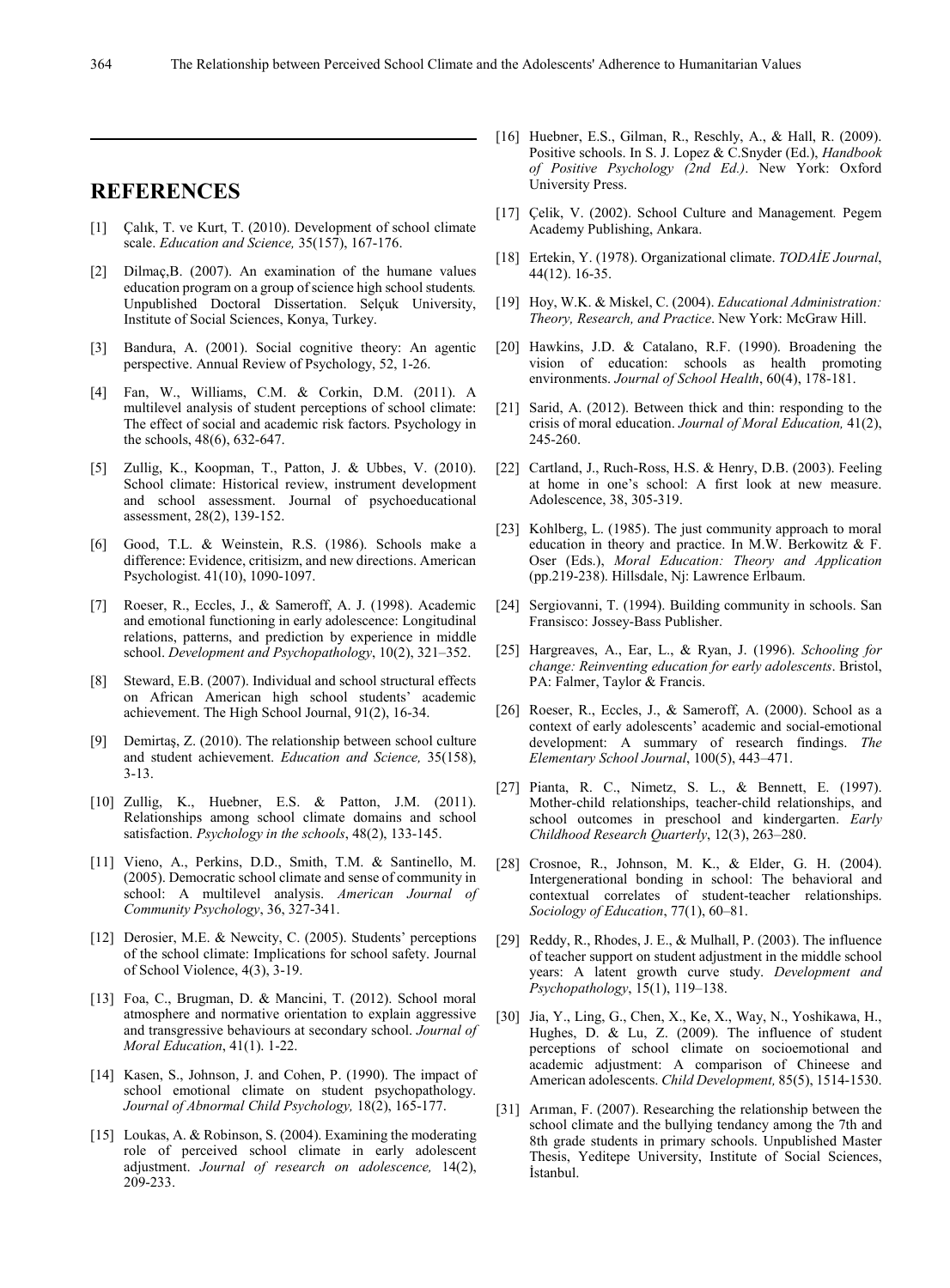## **REFERENCES**

- [1] Calık, T. ve Kurt, T. (2010). Development of school climate scale. *Education and Science,* 35(157), 167-176.
- [2] Dilmaç,B. (2007). An examination of the humane values education program on a group of science high school students*.* Unpublished Doctoral Dissertation. Selçuk University, Institute of Social Sciences, Konya, Turkey.
- [3] Bandura, A. (2001). Social cognitive theory: An agentic perspective. Annual Review of Psychology, 52, 1-26.
- [4] Fan, W., Williams, C.M. & Corkin, D.M. (2011). A multilevel analysis of student perceptions of school climate: The effect of social and academic risk factors. Psychology in the schools, 48(6), 632-647.
- [5] Zullig, K., Koopman, T., Patton, J. & Ubbes, V. (2010). School climate: Historical review, instrument development and school assessment. Journal of psychoeducational assessment, 28(2), 139-152.
- [6] Good, T.L. & Weinstein, R.S. (1986). Schools make a difference: Evidence, critisizm, and new directions. American Psychologist. 41(10), 1090-1097.
- [7] Roeser, R., Eccles, J., & Sameroff, A. J. (1998). Academic and emotional functioning in early adolescence: Longitudinal relations, patterns, and prediction by experience in middle school. *Development and Psychopathology*, 10(2), 321–352.
- [8] Steward, E.B. (2007). Individual and school structural effects on African American high school students' academic achievement. The High School Journal, 91(2), 16-34.
- [9] Demirtaş, Z. (2010). The relationship between school culture and student achievement. *Education and Science,* 35(158), 3-13.
- [10] Zullig, K., Huebner, E.S. & Patton, J.M. (2011). Relationships among school climate domains and school satisfaction. *Psychology in the schools*, 48(2), 133-145.
- [11] Vieno, A., Perkins, D.D., Smith, T.M. & Santinello, M. (2005). Democratic school climate and sense of community in school: A multilevel analysis. *American Journal of Community Psychology*, 36, 327-341.
- [12] Derosier, M.E. & Newcity, C. (2005). Students' perceptions of the school climate: Implications for school safety. Journal of School Violence, 4(3), 3-19.
- [13] Foa, C., Brugman, D. & Mancini, T. (2012). School moral atmosphere and normative orientation to explain aggressive and transgressive behaviours at secondary school. *Journal of Moral Education*, 41(1). 1-22.
- [14] Kasen, S., Johnson, J. and Cohen, P. (1990). The impact of school emotional climate on student psychopathology. *Journal of Abnormal Child Psychology,* 18(2), 165-177.
- [15] Loukas, A. & Robinson, S. (2004). Examining the moderating role of perceived school climate in early adolescent adjustment. *Journal of research on adolescence,* 14(2), 209-233.
- [16] Huebner, E.S., Gilman, R., Reschly, A., & Hall, R. (2009). Positive schools. In S. J. Lopez & C.Snyder (Ed.), *Handbook of Positive Psychology (2nd Ed.)*. New York: Oxford University Press.
- [17] Çelik, V. (2002). School Culture and Management*.* Pegem Academy Publishing, Ankara.
- [18] Ertekin, Y. (1978). Organizational climate. *TODAİE Journal*, 44(12). 16-35.
- [19] Hoy, W.K. & Miskel, C. (2004). *Educational Administration: Theory, Research, and Practice*. New York: McGraw Hill.
- [20] Hawkins, J.D. & Catalano, R.F. (1990). Broadening the vision of education: schools as health promoting environments. *Journal of School Health*, 60(4), 178-181.
- [21] Sarid, A. (2012). Between thick and thin: responding to the crisis of moral education. *Journal of Moral Education,* 41(2), 245-260.
- [22] Cartland, J., Ruch-Ross, H.S. & Henry, D.B. (2003). Feeling at home in one's school: A first look at new measure. Adolescence, 38, 305-319.
- [23] Kohlberg, L. (1985). The just community approach to moral education in theory and practice. In M.W. Berkowitz & F. Oser (Eds.), *Moral Education: Theory and Application* (pp.219-238). Hillsdale, Nj: Lawrence Erlbaum.
- [24] Sergiovanni, T. (1994). Building community in schools. San Fransisco: Jossey-Bass Publisher.
- [25] Hargreaves, A., Ear, L., & Ryan, J. (1996). *Schooling for change: Reinventing education for early adolescents*. Bristol, PA: Falmer, Taylor & Francis.
- [26] Roeser, R., Eccles, J., & Sameroff, A. (2000). School as a context of early adolescents' academic and social-emotional development: A summary of research findings. *The Elementary School Journal*, 100(5), 443–471.
- [27] Pianta, R. C., Nimetz, S. L., & Bennett, E. (1997). Mother-child relationships, teacher-child relationships, and school outcomes in preschool and kindergarten. *Early Childhood Research Quarterly*, 12(3), 263–280.
- [28] Crosnoe, R., Johnson, M. K., & Elder, G. H. (2004). Intergenerational bonding in school: The behavioral and contextual correlates of student-teacher relationships. *Sociology of Education*, 77(1), 60–81.
- [29] Reddy, R., Rhodes, J. E., & Mulhall, P. (2003). The influence of teacher support on student adjustment in the middle school years: A latent growth curve study. *Development and Psychopathology*, 15(1), 119–138.
- [30] Jia, Y., Ling, G., Chen, X., Ke, X., Way, N., Yoshikawa, H., Hughes, D. & Lu, Z. (2009). The influence of student perceptions of school climate on socioemotional and academic adjustment: A comparison of Chineese and American adolescents. *Child Development,* 85(5), 1514-1530.
- [31] Arıman, F. (2007). Researching the relationship between the school climate and the bullying tendancy among the 7th and 8th grade students in primary schools. Unpublished Master Thesis, Yeditepe University, Institute of Social Sciences, İstanbul.